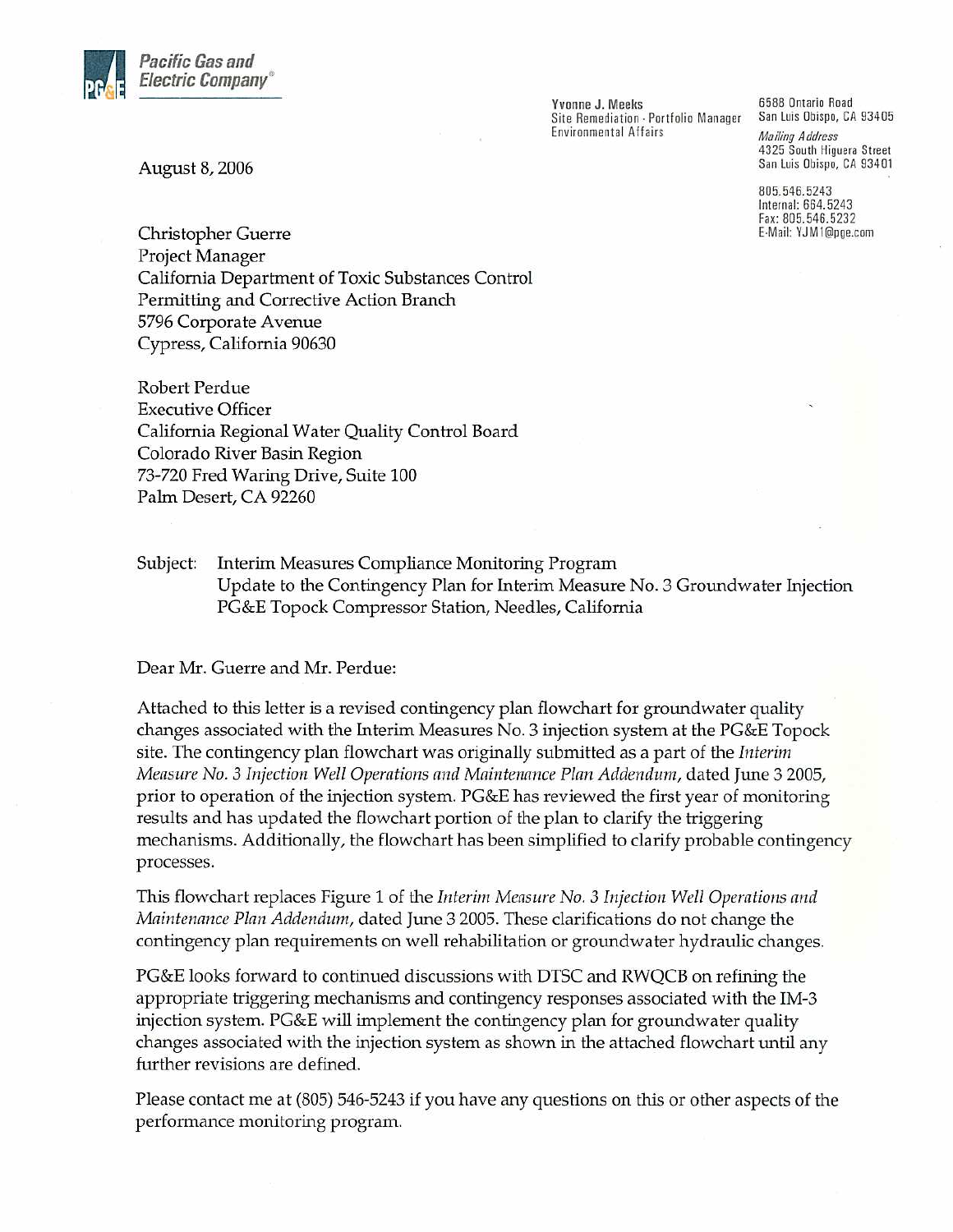

Yvonne J. Meeks Site Remediation - Portfolio Manager San Luis Obispo, CA 93405 **Environmental Affairs** 

6588 Ontario Road **Mailing Address** 4325 South Higuera Street San Luis Obispo, CA 93401

805.546.5243 Internal: 664.5243 Fax: 805.546.5232 E-Mail: YJM1@pge.com

August 8, 2006

Christopher Guerre Project Manager California Department of Toxic Substances Control Permitting and Corrective Action Branch 5796 Corporate Avenue Cypress, California 90630

**Robert Perdue Executive Officer** California Regional Water Quality Control Board Colorado River Basin Region 73-720 Fred Waring Drive, Suite 100 Palm Desert, CA 92260

Subject: Interim Measures Compliance Monitoring Program Update to the Contingency Plan for Interim Measure No. 3 Groundwater Injection PG&E Topock Compressor Station, Needles, California

Dear Mr. Guerre and Mr. Perdue:

Attached to this letter is a revised contingency plan flowchart for groundwater quality changes associated with the Interim Measures No. 3 injection system at the PG&E Topock site. The contingency plan flowchart was originally submitted as a part of the *Interim* Measure No. 3 Injection Well Operations and Maintenance Plan Addendum, dated June 3 2005, prior to operation of the injection system. PG&E has reviewed the first year of monitoring results and has updated the flowchart portion of the plan to clarify the triggering mechanisms. Additionally, the flowchart has been simplified to clarify probable contingency processes.

This flowchart replaces Figure 1 of the Interim Measure No. 3 Injection Well Operations and *Maintenance Plan Addendum,* dated June 3 2005. These clarifications do not change the contingency plan requirements on well rehabilitation or groundwater hydraulic changes.

PG&E looks forward to continued discussions with DTSC and RWQCB on refining the appropriate triggering mechanisms and contingency responses associated with the IM-3 injection system. PG&E will implement the contingency plan for groundwater quality changes associated with the injection system as shown in the attached flowchart until any further revisions are defined.

Please contact me at (805) 546-5243 if you have any questions on this or other aspects of the performance monitoring program.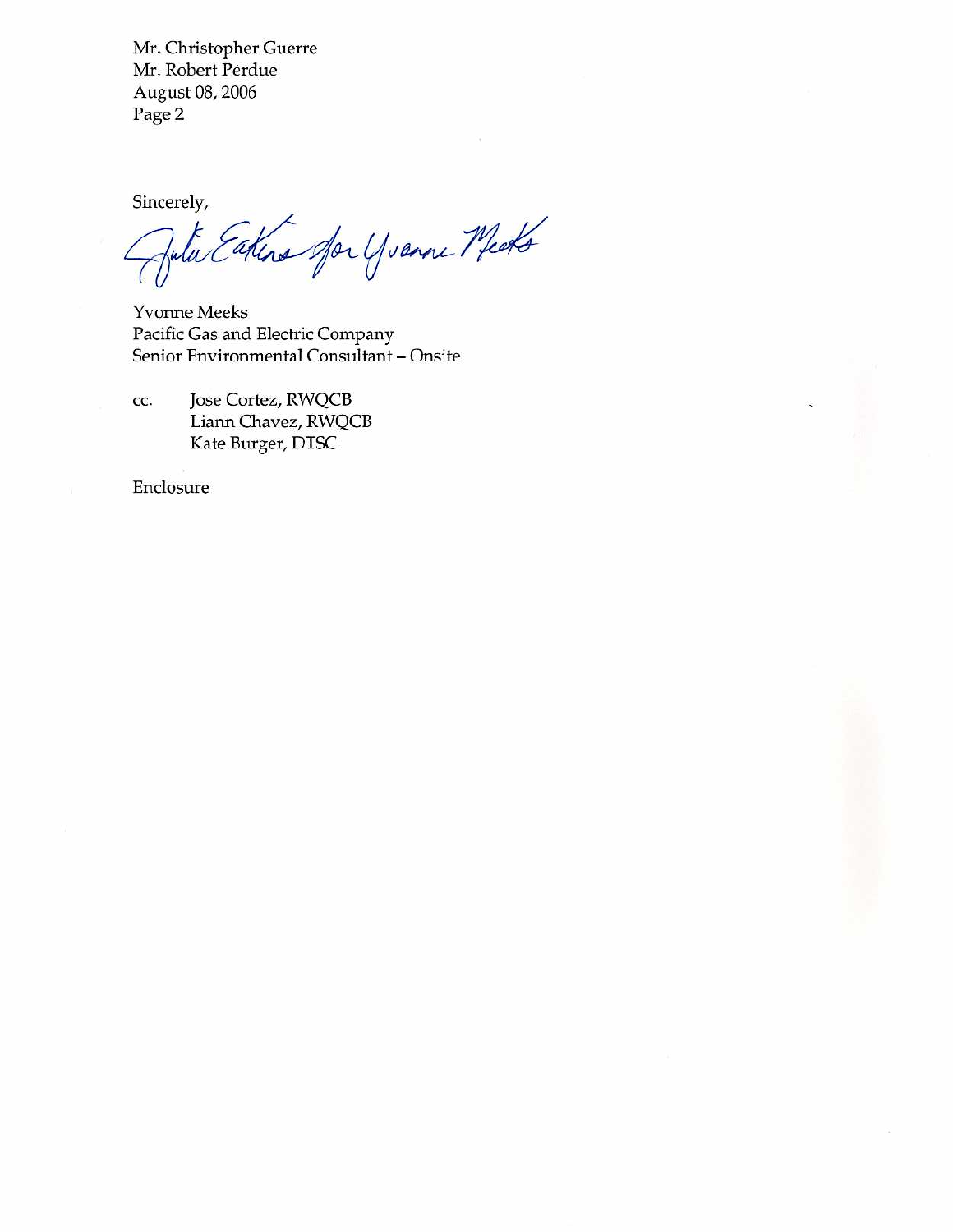Mr. Christopher Guerre Mr. Robert Perdue August 08, 2006 Page 2

Sincerely,

akins for yvanne Meets

Yvonne Meeks Pacific Gas and Electric Company Senior Environmental Consultant - Onsite

Jose Cortez, RWQCB CC. Liann Chavez, RWQCB Kate Burger, DTSC

Enclosure